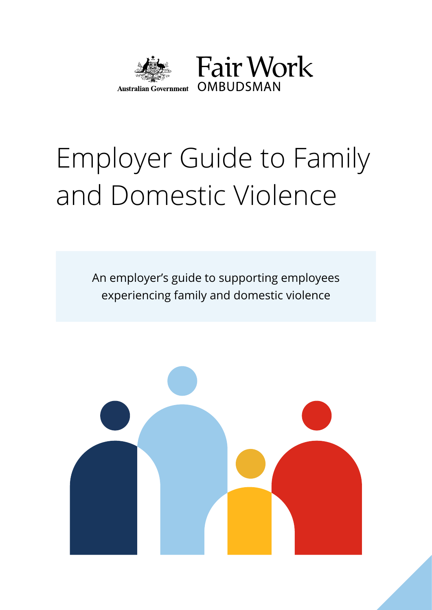

# Employer Guide to Family and Domestic Violence

An employer's guide to supporting employees experiencing family and domestic violence

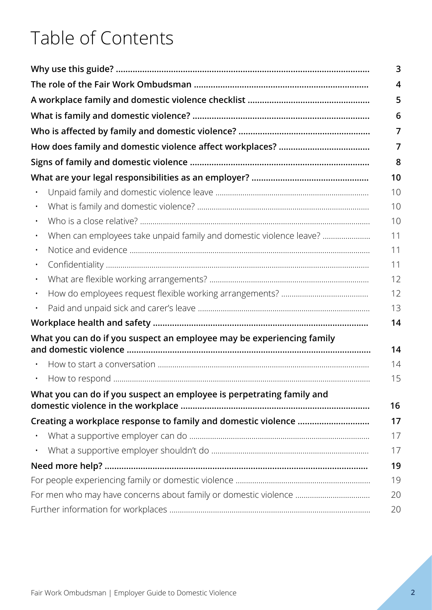# Table of Contents

|           |                                                                                                                                   | 3  |
|-----------|-----------------------------------------------------------------------------------------------------------------------------------|----|
|           |                                                                                                                                   | 4  |
|           |                                                                                                                                   | 5  |
|           |                                                                                                                                   | 6  |
|           |                                                                                                                                   | 7  |
|           |                                                                                                                                   | 7  |
|           |                                                                                                                                   | 8  |
|           |                                                                                                                                   | 10 |
|           |                                                                                                                                   | 10 |
|           |                                                                                                                                   | 10 |
|           |                                                                                                                                   | 10 |
|           | When can employees take unpaid family and domestic violence leave?                                                                | 11 |
|           |                                                                                                                                   | 11 |
|           |                                                                                                                                   | 11 |
|           |                                                                                                                                   | 12 |
|           |                                                                                                                                   | 12 |
| $\bullet$ |                                                                                                                                   | 13 |
|           |                                                                                                                                   | 14 |
|           | What you can do if you suspect an employee may be experiencing family<br>and domestic violence ………………………………………………………………………………………… | 14 |
|           |                                                                                                                                   | 14 |
|           |                                                                                                                                   | 15 |
|           | What you can do if you suspect an employee is perpetrating family and                                                             | 16 |
|           |                                                                                                                                   | 17 |
|           |                                                                                                                                   | 17 |
| $\bullet$ |                                                                                                                                   | 17 |
|           |                                                                                                                                   | 19 |
|           |                                                                                                                                   | 19 |
|           |                                                                                                                                   | 20 |
|           |                                                                                                                                   | 20 |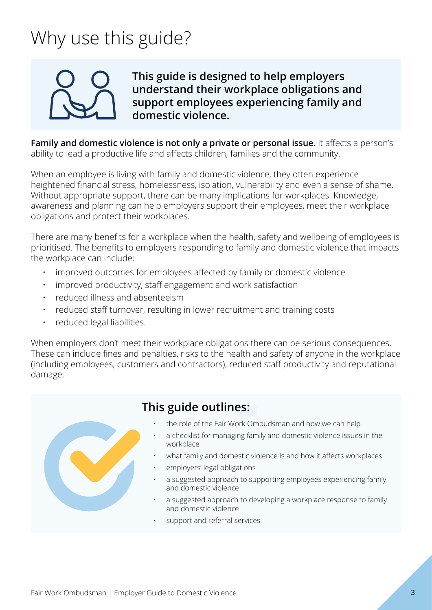# <span id="page-2-0"></span>Why use this guide?



**This guide is designed to help employers understand their workplace obligations and support employees experiencing family and domestic violence.**

**Family and domestic violence is not only a private or personal issue.** It affects a person's ability to lead a productive life and affects children, families and the community.

When an employee is living with family and domestic violence, they often experience heightened financial stress, homelessness, isolation, vulnerability and even a sense of shame. Without appropriate support, there can be many implications for workplaces. Knowledge, awareness and planning can help employers support their employees, meet their workplace obligations and protect their workplaces.

There are many benefits for a workplace when the health, safety and wellbeing of employees is prioritised. The benefits to employers responding to family and domestic violence that impacts the workplace can include:

- improved outcomes for employees affected by family or domestic violence
- improved productivity, staff engagement and work satisfaction
- reduced illness and absenteeism
- reduced staff turnover, resulting in lower recruitment and training costs
- reduced legal liabilities.

When employers don't meet their workplace obligations there can be serious consequences. These can include fines and penalties, risks to the health and safety of anyone in the workplace (including employees, customers and contractors), reduced staff productivity and reputational damage.



## **This guide outlines:**

- the role of the Fair Work Ombudsman and how we can help
- a checklist for managing family and domestic violence issues in the workplace
- what family and domestic violence is and how it affects workplaces
- employers' legal obligations
- a suggested approach to supporting employees experiencing family and domestic violence
- a suggested approach to developing a workplace response to family and domestic violence
- support and referral services.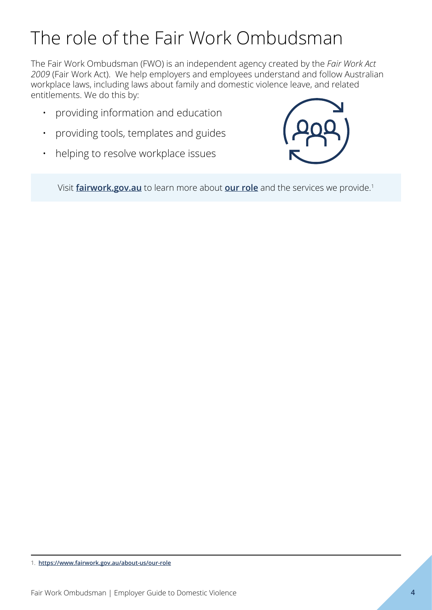# <span id="page-3-0"></span>The role of the Fair Work Ombudsman

The Fair Work Ombudsman (FWO) is an independent agency created by the *Fair Work Act 2009* (Fair Work Act). We help employers and employees understand and follow Australian workplace laws, including laws about family and domestic violence leave, and related entitlements. We do this by:

- providing information and education
- providing tools, templates and guides
- helping to resolve workplace issues



Visit **[fairwork.gov.au](http://www.fairwork.gov.au)** to learn more about **[our role](https://www.fairwork.gov.au/about-us/our-role)** and the services we provide.<sup>1</sup>

<sup>1.</sup> **<https://www.fairwork.gov.au/about-us/our-role>**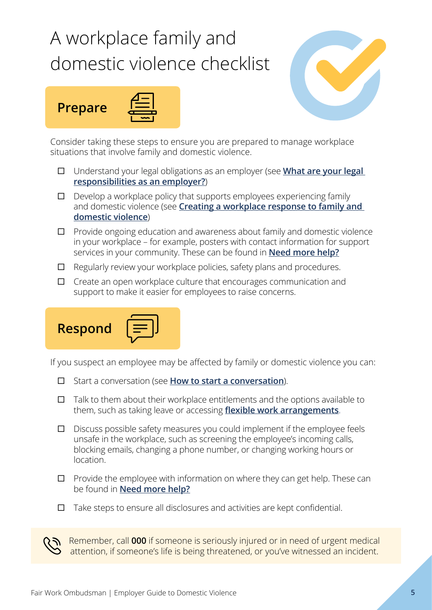# <span id="page-4-0"></span>A workplace family and domestic violence checklist







Consider taking these steps to ensure you are prepared to manage workplace situations that involve family and domestic violence.

- □ Understand your legal obligations as an employer (see **What are your legal [responsibilities as an employer?](#page-9-0)**)
- $\square$  Develop a workplace policy that supports employees experiencing family and domestic violence (see **[Creating a workplace response to family and](#page-15-0)  [domestic violence](#page-15-0)**)
- $\Box$  Provide ongoing education and awareness about family and domestic violence in your workplace – for example, posters with contact information for support services in your community. These can be found in **[Need more help?](#page-18-0)**
- $\Box$  Regularly review your workplace policies, safety plans and procedures.
- $\Box$  Create an open workplace culture that encourages communication and support to make it easier for employees to raise concerns.



If you suspect an employee may be affected by family or domestic violence you can:

- □ Start a conversation (see **[How to start a conversation](#page-13-0)**).
- $\Box$  Talk to them about their workplace entitlements and the options available to them, such as taking leave or accessing **[flexible work arrangements](#page-11-0)**.
- $\Box$  Discuss possible safety measures you could implement if the employee feels unsafe in the workplace, such as screening the employee's incoming calls, blocking emails, changing a phone number, or changing working hours or location.
- $\Box$  Provide the employee with information on where they can get help. These can be found in **[Need more help?](#page-18-0)**
- $\Box$  Take steps to ensure all disclosures and activities are kept confidential.

Remember, call **000** if someone is seriously injured or in need of urgent medical attention, if someone's life is being threatened, or you've witnessed an incident.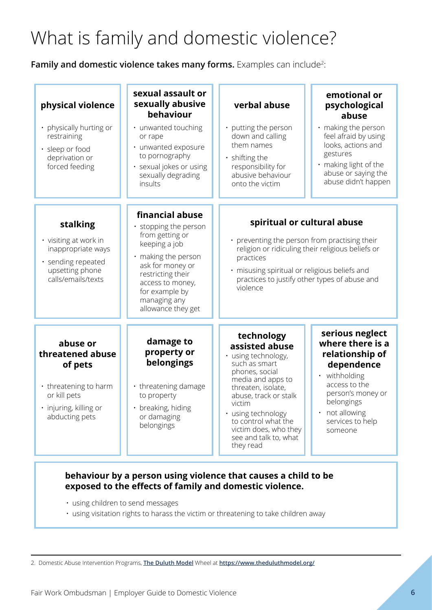# <span id="page-5-0"></span>What is family and domestic violence?

**Family and domestic violence takes many forms.** Examples can include<sup>2</sup>:

| physical violence<br>• physically hurting or<br>restraining<br>· sleep or food<br>deprivation or<br>forced feeding           | sexual assault or<br>sexually abusive<br>behaviour<br>· unwanted touching<br>or rape<br>· unwanted exposure<br>to pornography<br>· sexual jokes or using<br>sexually degrading<br>insults                              | verbal abuse<br>• putting the person<br>down and calling<br>them names<br>· shifting the<br>responsibility for<br>abusive behaviour<br>onto the victim                                                                                                                           | emotional or<br>psychological<br>abuse<br>· making the person<br>feel afraid by using<br>looks, actions and<br>gestures<br>· making light of the<br>abuse or saying the<br>abuse didn't happen      |
|------------------------------------------------------------------------------------------------------------------------------|------------------------------------------------------------------------------------------------------------------------------------------------------------------------------------------------------------------------|----------------------------------------------------------------------------------------------------------------------------------------------------------------------------------------------------------------------------------------------------------------------------------|-----------------------------------------------------------------------------------------------------------------------------------------------------------------------------------------------------|
| stalking<br>• visiting at work in<br>inappropriate ways<br>· sending repeated<br>upsetting phone<br>calls/emails/texts       | financial abuse<br>• stopping the person<br>from getting or<br>keeping a job<br>making the person<br>ask for money or<br>restricting their<br>access to money,<br>for example by<br>managing any<br>allowance they get | spiritual or cultural abuse<br>• preventing the person from practising their<br>religion or ridiculing their religious beliefs or<br>practices<br>· misusing spiritual or religious beliefs and<br>practices to justify other types of abuse and<br>violence                     |                                                                                                                                                                                                     |
| abuse or<br>threatened abuse<br>of pets<br>• threatening to harm<br>or kill pets<br>· injuring, killing or<br>abducting pets | damage to<br>property or<br>belongings<br>• threatening damage<br>to property<br>breaking, hiding<br>or damaging<br>belongings                                                                                         | technology<br>assisted abuse<br>· using technology,<br>such as smart<br>phones, social<br>media and apps to<br>threaten, isolate,<br>abuse, track or stalk<br>victim<br>• using technology<br>to control what the<br>victim does, who they<br>see and talk to, what<br>they read | serious neglect<br>where there is a<br>relationship of<br>dependence<br>withholding<br>$\bullet$<br>access to the<br>person's money or<br>belongings<br>not allowing<br>services to help<br>someone |

#### **behaviour by a person using violence that causes a child to be exposed to the effects of family and domestic violence.**

- using children to send messages
- using visitation rights to harass the victim or threatening to take children away

2. Domestic Abuse Intervention Programs, **[The Duluth Model](https://www.theduluthmodel.org/)** Wheel at **<https://www.theduluthmodel.org/>**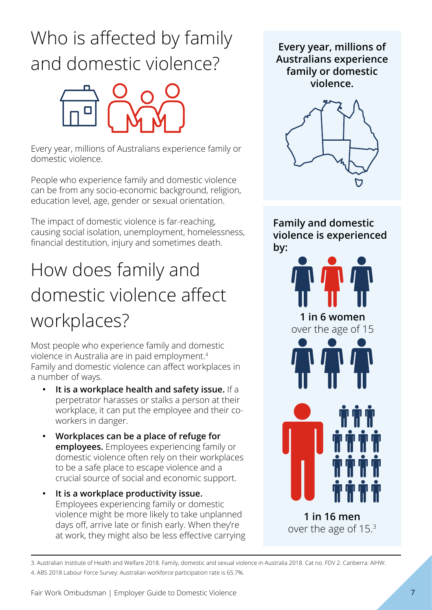# <span id="page-6-0"></span>Who is affected by family and domestic violence?



Every year, millions of Australians experience family or domestic violence.

People who experience family and domestic violence can be from any socio-economic background, religion, education level, age, gender or sexual orientation.

The impact of domestic violence is far-reaching, causing social isolation, unemployment, homelessness, financial destitution, injury and sometimes death.

# How does family and domestic violence affect workplaces?

Most people who experience family and domestic violence in Australia are in paid employment.<sup>4</sup> Family and domestic violence can affect workplaces in a number of ways.

- **• It is a workplace health and safety issue.** If a perpetrator harasses or stalks a person at their workplace, it can put the employee and their coworkers in danger.
- **• Workplaces can be a place of refuge for employees.** Employees experiencing family or domestic violence often rely on their workplaces to be a safe place to escape violence and a crucial source of social and economic support.
- **• It is a workplace productivity issue.**  Employees experiencing family or domestic violence might be more likely to take unplanned days off, arrive late or finish early. When they're at work, they might also be less effective carrying

**Every year, millions of Australians experience family or domestic violence.**



**Family and domestic violence is experienced by:**



3. Australian Institute of Health and Welfare 2018. Family, domestic and sexual violence in Australia 2018. Cat no. FDV 2. Canberra: AIHW. 4. ABS 2018 Labour Force Survey: Australian workforce participation rate is 65.7%.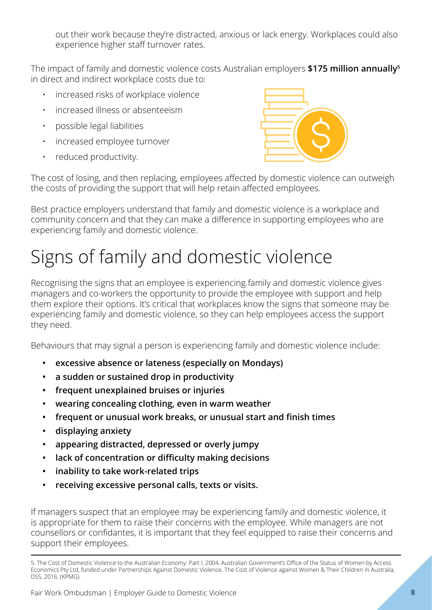<span id="page-7-0"></span>out their work because they're distracted, anxious or lack energy. Workplaces could also experience higher staff turnover rates.

The impact of family and domestic violence costs Australian employers **\$175 million annually<sup>5</sup>** in direct and indirect workplace costs due to:

- increased risks of workplace violence
- increased illness or absenteeism
- possible legal liabilities
- increased employee turnover
- reduced productivity.



The cost of losing, and then replacing, employees affected by domestic violence can outweigh the costs of providing the support that will help retain affected employees.

Best practice employers understand that family and domestic violence is a workplace and community concern and that they can make a difference in supporting employees who are experiencing family and domestic violence.

# Signs of family and domestic violence

Recognising the signs that an employee is experiencing family and domestic violence gives managers and co-workers the opportunity to provide the employee with support and help them explore their options. It's critical that workplaces know the signs that someone may be experiencing family and domestic violence, so they can help employees access the support they need.

Behaviours that may signal a person is experiencing family and domestic violence include:

- **• excessive absence or lateness (especially on Mondays)**
- **• a sudden or sustained drop in productivity**
- **• frequent unexplained bruises or injuries**
- **• wearing concealing clothing, even in warm weather**
- **• frequent or unusual work breaks, or unusual start and finish times**
- **• displaying anxiety**
- **• appearing distracted, depressed or overly jumpy**
- **• lack of concentration or difficulty making decisions**
- **• inability to take work-related trips**
- **• receiving excessive personal calls, texts or visits.**

If managers suspect that an employee may be experiencing family and domestic violence, it is appropriate for them to raise their concerns with the employee. While managers are not counsellors or confidantes, it is important that they feel equipped to raise their concerns and support their employees.

<sup>5.</sup> The Cost of Domestic Violence to the Australian Economy: Part I, 2004, Australian Government's Office of the Status of Women by Access Economics Pty Ltd, funded under Partnerships Against Domestic Violence. The Cost of Violence against Women & Their Children in Australia, DSS, 2016, (KPMG).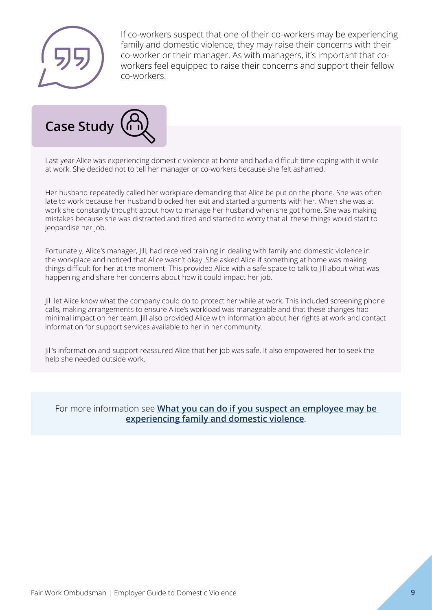

If co-workers suspect that one of their co-workers may be experiencing family and domestic violence, they may raise their concerns with their co-worker or their manager. As with managers, it's important that coworkers feel equipped to raise their concerns and support their fellow co-workers.



Last year Alice was experiencing domestic violence at home and had a difficult time coping with it while at work. She decided not to tell her manager or co-workers because she felt ashamed.

Her husband repeatedly called her workplace demanding that Alice be put on the phone. She was often late to work because her husband blocked her exit and started arguments with her. When she was at work she constantly thought about how to manage her husband when she got home. She was making mistakes because she was distracted and tired and started to worry that all these things would start to jeopardise her job.

Fortunately, Alice's manager, Jill, had received training in dealing with family and domestic violence in the workplace and noticed that Alice wasn't okay. She asked Alice if something at home was making things difficult for her at the moment. This provided Alice with a safe space to talk to Jill about what was happening and share her concerns about how it could impact her job.

Jill let Alice know what the company could do to protect her while at work. This included screening phone calls, making arrangements to ensure Alice's workload was manageable and that these changes had minimal impact on her team. Jill also provided Alice with information about her rights at work and contact information for support services available to her in her community.

Jill's information and support reassured Alice that her job was safe. It also empowered her to seek the help she needed outside work.

For more information see **[What you can do if you suspect an employee may be](#page-13-0)  [experiencing family and domestic violence](#page-13-0)**.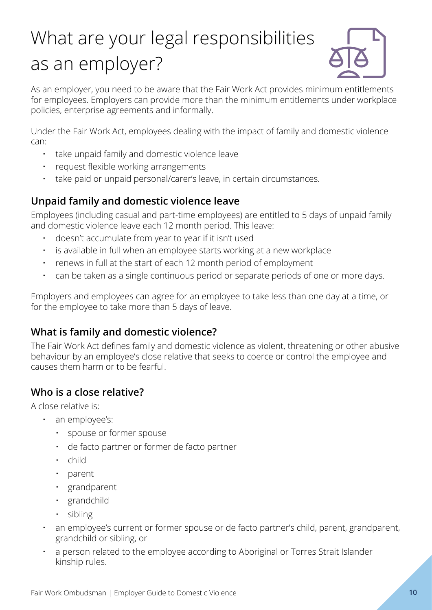# <span id="page-9-0"></span>What are your legal responsibilities as an employer?



As an employer, you need to be aware that the Fair Work Act provides minimum entitlements for employees. Employers can provide more than the minimum entitlements under workplace policies, enterprise agreements and informally.

Under the Fair Work Act, employees dealing with the impact of family and domestic violence can:

- take unpaid family and domestic violence leave
- request flexible working arrangements
- take paid or unpaid personal/carer's leave, in certain circumstances.

# **Unpaid family and domestic violence leave**

Employees (including casual and part-time employees) are entitled to 5 days of unpaid family and domestic violence leave each 12 month period. This leave:

- doesn't accumulate from year to year if it isn't used
- is available in full when an employee starts working at a new workplace
- renews in full at the start of each 12 month period of employment
- can be taken as a single continuous period or separate periods of one or more days.

Employers and employees can agree for an employee to take less than one day at a time, or for the employee to take more than 5 days of leave.

### **What is family and domestic violence?**

The Fair Work Act defines family and domestic violence as violent, threatening or other abusive behaviour by an employee's close relative that seeks to coerce or control the employee and causes them harm or to be fearful.

## **Who is a close relative?**

A close relative is:

- an employee's:
	- spouse or former spouse
	- de facto partner or former de facto partner
	- child
	- parent
	- grandparent
	- grandchild
	- sibling
- an employee's current or former spouse or de facto partner's child, parent, grandparent, grandchild or sibling, or
- a person related to the employee according to Aboriginal or Torres Strait Islander kinship rules.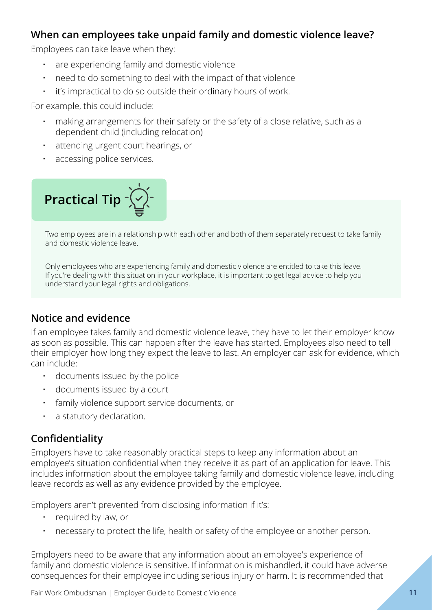### <span id="page-10-0"></span>**When can employees take unpaid family and domestic violence leave?**

Employees can take leave when they:

- are experiencing family and domestic violence
- need to do something to deal with the impact of that violence
- it's impractical to do so outside their ordinary hours of work.

For example, this could include:

- making arrangements for their safety or the safety of a close relative, such as a dependent child (including relocation)
- attending urgent court hearings, or
- accessing police services.



Two employees are in a relationship with each other and both of them separately request to take family and domestic violence leave.

Only employees who are experiencing family and domestic violence are entitled to take this leave. If you're dealing with this situation in your workplace, it is important to get legal advice to help you understand your legal rights and obligations.

### **Notice and evidence**

If an employee takes family and domestic violence leave, they have to let their employer know as soon as possible. This can happen after the leave has started. Employees also need to tell their employer how long they expect the leave to last. An employer can ask for evidence, which can include:

- documents issued by the police
- documents issued by a court
- family violence support service documents, or
- a statutory declaration.

### **Confidentiality**

Employers have to take reasonably practical steps to keep any information about an employee's situation confidential when they receive it as part of an application for leave. This includes information about the employee taking family and domestic violence leave, including leave records as well as any evidence provided by the employee.

Employers aren't prevented from disclosing information if it's:

- required by law, or
- necessary to protect the life, health or safety of the employee or another person.

Employers need to be aware that any information about an employee's experience of family and domestic violence is sensitive. If information is mishandled, it could have adverse consequences for their employee including serious injury or harm. It is recommended that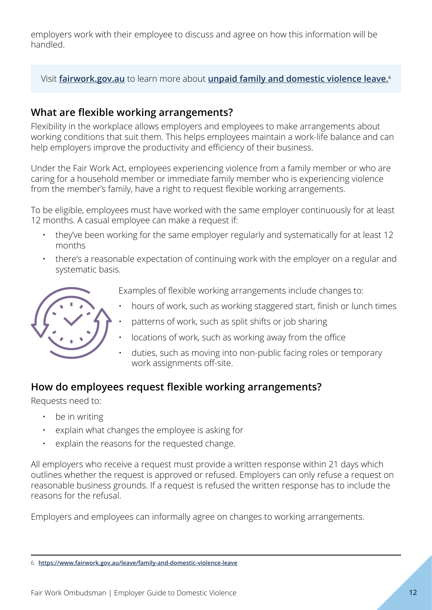<span id="page-11-0"></span>employers work with their employee to discuss and agree on how this information will be handled.

Visit **[fairwork.gov.au](http://www.fairwork.gov.au)** to learn more about **[unpaid family and domestic violence leave.](https://www.fairwork.gov.au/leave/family-and-domestic-violence-leave)**<sup>6</sup>

### **What are flexible working arrangements?**

Flexibility in the workplace allows employers and employees to make arrangements about working conditions that suit them. This helps employees maintain a work-life balance and can help employers improve the productivity and efficiency of their business.

Under the Fair Work Act, employees experiencing violence from a family member or who are caring for a household member or immediate family member who is experiencing violence from the member's family, have a right to request flexible working arrangements.

To be eligible, employees must have worked with the same employer continuously for at least 12 months. A casual employee can make a request if:

- they've been working for the same employer regularly and systematically for at least 12 months
- there's a reasonable expectation of continuing work with the employer on a regular and systematic basis.



- Examples of flexible working arrangements include changes to:
- hours of work, such as working staggered start, finish or lunch times
- patterns of work, such as split shifts or job sharing
- locations of work, such as working away from the office
- duties, such as moving into non-public facing roles or temporary work assignments off-site.

### **How do employees request flexible working arrangements?**

Requests need to:

- be in writing
- explain what changes the employee is asking for
- explain the reasons for the requested change.

All employers who receive a request must provide a written response within 21 days which outlines whether the request is approved or refused. Employers can only refuse a request on reasonable business grounds. If a request is refused the written response has to include the reasons for the refusal.

Employers and employees can informally agree on changes to working arrangements.

<sup>6.</sup> **<https://www.fairwork.gov.au/leave/family-and-domestic-violence-leave>**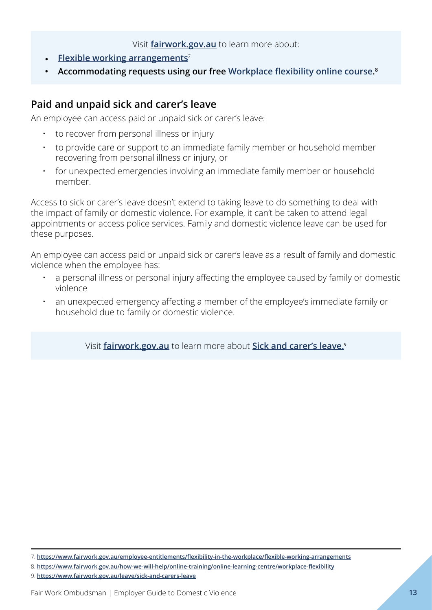#### Visit **[fairwork.gov.au](http://www.fairwork.gov.au)** to learn more about:

- <span id="page-12-0"></span>• **[Flexible working arrangements](https://www.fairwork.gov.au/employee-entitlements/flexibility-in-the-workplace/flexible-working-arrangements)**<sup>7</sup>
- **• Accommodating requests using our free [Workplace flexibility online course](https://www.fairwork.gov.au/how-we-will-help/online-training/online-learning-centre/workplace-flexibility). 8**

### **Paid and unpaid sick and carer's leave**

An employee can access paid or unpaid sick or carer's leave:

- to recover from personal illness or injury
- to provide care or support to an immediate family member or household member recovering from personal illness or injury, or
- for unexpected emergencies involving an immediate family member or household member.

Access to sick or carer's leave doesn't extend to taking leave to do something to deal with the impact of family or domestic violence. For example, it can't be taken to attend legal appointments or access police services. Family and domestic violence leave can be used for these purposes.

An employee can access paid or unpaid sick or carer's leave as a result of family and domestic violence when the employee has:

- a personal illness or personal injury affecting the employee caused by family or domestic violence
- an unexpected emergency affecting a member of the employee's immediate family or household due to family or domestic violence.

Visit **[fairwork.gov.au](http://www.fairwork.gov.au)** to learn more about **[Sick and carer's leave.](https://www.fairwork.gov.au/leave/sick-and-carers-leave)**<sup>9</sup>

8. **<https://www.fairwork.gov.au/how-we-will-help/online-training/online-learning-centre/workplace-flexibility>**

<sup>7.</sup> **<https://www.fairwork.gov.au/employee-entitlements/flexibility-in-the-workplace/flexible-working-arrangements>**

<sup>9.</sup> **<https://www.fairwork.gov.au/leave/sick-and-carers-leave>**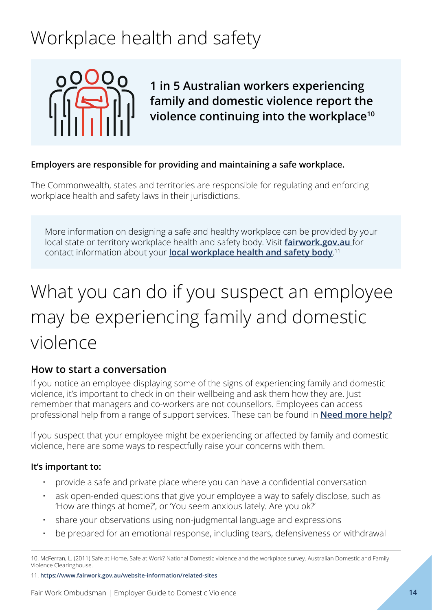# <span id="page-13-0"></span>Workplace health and safety



**1 in 5 Australian workers experiencing family and domestic violence report the violence continuing into the workplace10**

#### **Employers are responsible for providing and maintaining a safe workplace.**

The Commonwealth, states and territories are responsible for regulating and enforcing workplace health and safety laws in their jurisdictions.

More information on designing a safe and healthy workplace can be provided by your local state or territory workplace health and safety body. Visit **[fairwork.gov.au](http://www.fairwork.gov.au )** for contact information about your **[local workplace health and safety body](https://www.fairwork.gov.au/website-information/related-sites)**. 11

# What you can do if you suspect an employee may be experiencing family and domestic violence

### **How to start a conversation**

If you notice an employee displaying some of the signs of experiencing family and domestic violence, it's important to check in on their wellbeing and ask them how they are. Just remember that managers and co-workers are not counsellors. Employees can access professional help from a range of support services. These can be found in **[Need more help?](#page-18-0)**

If you suspect that your employee might be experiencing or affected by family and domestic violence, here are some ways to respectfully raise your concerns with them.

#### **It's important to:**

- provide a safe and private place where you can have a confidential conversation
- ask open-ended questions that give your employee a way to safely disclose, such as 'How are things at home?', or 'You seem anxious lately. Are you ok?'
- share your observations using non-judgmental language and expressions
- be prepared for an emotional response, including tears, defensiveness or withdrawal

<sup>10.</sup> McFerran, L. (2011) Safe at Home, Safe at Work? National Domestic violence and the workplace survey. Australian Domestic and Family Violence Clearinghouse.

<sup>11.</sup> **<https://www.fairwork.gov.au/website-information/related-sites>**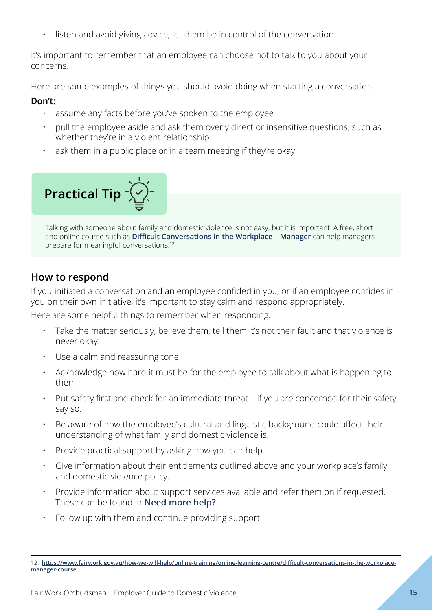<span id="page-14-0"></span>listen and avoid giving advice, let them be in control of the conversation.

It's important to remember that an employee can choose not to talk to you about your concerns.

Here are some examples of things you should avoid doing when starting a conversation.

#### **Don't:**

- assume any facts before you've spoken to the employee
- pull the employee aside and ask them overly direct or insensitive questions, such as whether they're in a violent relationship
- ask them in a public place or in a team meeting if they're okay.



Talking with someone about family and domestic violence is not easy, but it is important. A free, short and online course such as **[Difficult Conversations in the Workplace – Manager](https://www.fairwork.gov.au/how-we-will-help/online-training/online-learning-centre/difficult-conversations-in-the-workplace-manager-course)** can help managers prepare for meaningful conversations.12

# **How to respond**

If you initiated a conversation and an employee confided in you, or if an employee confides in you on their own initiative, it's important to stay calm and respond appropriately.

Here are some helpful things to remember when responding:

- Take the matter seriously, believe them, tell them it's not their fault and that violence is never okay.
- Use a calm and reassuring tone.
- Acknowledge how hard it must be for the employee to talk about what is happening to them.
- Put safety first and check for an immediate threat if you are concerned for their safety, say so.
- Be aware of how the employee's cultural and linguistic background could affect their understanding of what family and domestic violence is.
- Provide practical support by asking how you can help.
- Give information about their entitlements outlined above and your workplace's family and domestic violence policy.
- Provide information about support services available and refer them on if requested. These can be found in **[Need more help?](#page-18-0)**
- Follow up with them and continue providing support.

<sup>12.</sup> **[https://www.fairwork.gov.au/how-we-will-help/online-training/online-learning-centre/difficult-conversations-in-the-workplace](https://www.fairwork.gov.au/how-we-will-help/online-training/online-learning-centre/difficult-conversations-in-the-workplace-manager-course)[manager-course](https://www.fairwork.gov.au/how-we-will-help/online-training/online-learning-centre/difficult-conversations-in-the-workplace-manager-course)**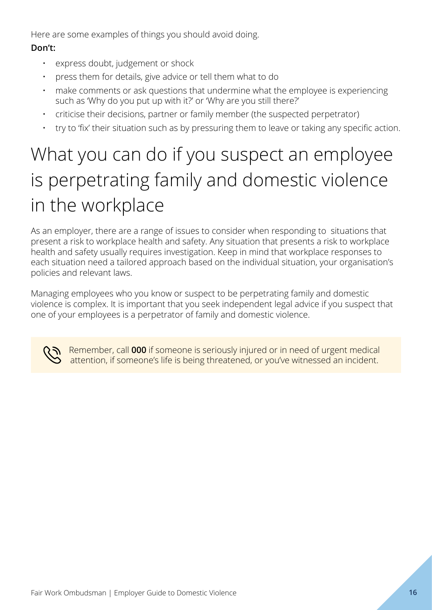<span id="page-15-0"></span>Here are some examples of things you should avoid doing.

### **Don't:**

- express doubt, judgement or shock
- press them for details, give advice or tell them what to do
- make comments or ask questions that undermine what the employee is experiencing such as 'Why do you put up with it?' or 'Why are you still there?'
- criticise their decisions, partner or family member (the suspected perpetrator)
- try to 'fix' their situation such as by pressuring them to leave or taking any specific action.

# What you can do if you suspect an employee is perpetrating family and domestic violence in the workplace

As an employer, there are a range of issues to consider when responding to situations that present a risk to workplace health and safety. Any situation that presents a risk to workplace health and safety usually requires investigation. Keep in mind that workplace responses to each situation need a tailored approach based on the individual situation, your organisation's policies and relevant laws.

Managing employees who you know or suspect to be perpetrating family and domestic violence is complex. It is important that you seek independent legal advice if you suspect that one of your employees is a perpetrator of family and domestic violence.



Remember, call **000** if someone is seriously injured or in need of urgent medical attention, if someone's life is being threatened, or you've witnessed an incident.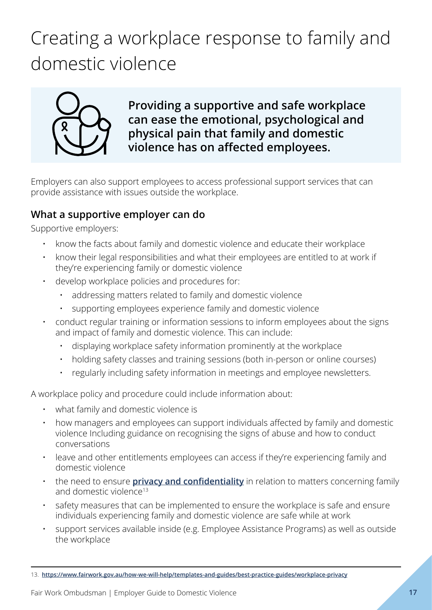# <span id="page-16-0"></span>Creating a workplace response to family and domestic violence



**Providing a supportive and safe workplace can ease the emotional, psychological and physical pain that family and domestic violence has on affected employees.**

Employers can also support employees to access professional support services that can provide assistance with issues outside the workplace.

### **What a supportive employer can do**

Supportive employers:

- know the facts about family and domestic violence and educate their workplace
- know their legal responsibilities and what their employees are entitled to at work if they're experiencing family or domestic violence
- develop workplace policies and procedures for:
	- addressing matters related to family and domestic violence
	- supporting employees experience family and domestic violence
- conduct regular training or information sessions to inform employees about the signs and impact of family and domestic violence. This can include:
	- displaying workplace safety information prominently at the workplace
	- holding safety classes and training sessions (both in-person or online courses)
	- regularly including safety information in meetings and employee newsletters.

A workplace policy and procedure could include information about:

- what family and domestic violence is
- how managers and employees can support individuals affected by family and domestic violence Including guidance on recognising the signs of abuse and how to conduct conversations
- leave and other entitlements employees can access if they're experiencing family and domestic violence
- the need to ensure **[privacy and confidentiality](https://www.fairwork.gov.au/how-we-will-help/templates-and-guides/best-practice-guides/workplace-privacy)** in relation to matters concerning family and domestic violence<sup>13</sup>
- safety measures that can be implemented to ensure the workplace is safe and ensure individuals experiencing family and domestic violence are safe while at work
- support services available inside (e.g. Employee Assistance Programs) as well as outside the workplace

<sup>13.</sup> **<https://www.fairwork.gov.au/how-we-will-help/templates-and-guides/best-practice-guides/workplace-privacy>**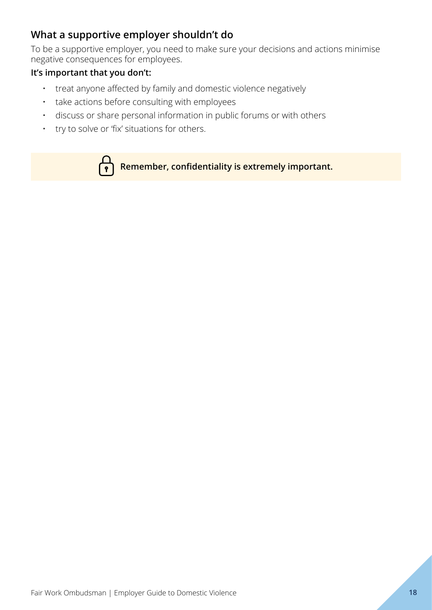### **What a supportive employer shouldn't do**

To be a supportive employer, you need to make sure your decisions and actions minimise negative consequences for employees.

#### **It's important that you don't:**

- treat anyone affected by family and domestic violence negatively
- take actions before consulting with employees
- discuss or share personal information in public forums or with others
- try to solve or 'fix' situations for others.



**Remember, confidentiality is extremely important.**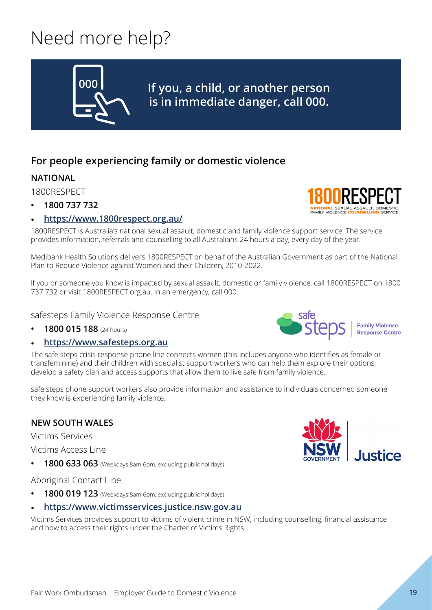# <span id="page-18-0"></span>Need more help?



**If you, a child, or another person is in immediate danger, call 000.**

# **For people experiencing family or domestic violence**

### **NATIONAL**

1800RESPECT

- **• 1800 737 732**
- **<https://www.1800respect.org.au/>**

1800RESPECT is Australia's national sexual assault, domestic and family violence support service. The service provides information, referrals and counselling to all Australians 24 hours a day, every day of the year.

Medibank Health Solutions delivers 1800RESPECT on behalf of the Australian Government as part of the National Plan to Reduce Violence against Women and their Children, 2010-2022.

If you or someone you know is impacted by sexual assault, domestic or family violence, call 1800RESPECT on 1800 737 732 or visit 1800RESPECT.org.au. In an emergency, call 000.

#### safesteps Family Violence Response Centre

**• 1800 015 188** (24 hours)

#### • **<https://www.safesteps.org.au>**

The safe steps crisis response phone line connects women (this includes anyone who identifies as female or transfeminine) and their children with specialist support workers who can help them explore their options, develop a safety plan and access supports that allow them to live safe from family violence.

safe steps phone support workers also provide information and assistance to individuals concerned someone they know is experiencing family violence.

### **NEW SOUTH WALES**

Victims Services

Victims Access Line

**• 1800 633 063** (Weekdays 8am-6pm, excluding public holidays)

Aboriginal Contact Line

- **• 1800 019 123** (Weekdays 8am-6pm, excluding public holidays)
- **<https://www.victimsservices.justice.nsw.gov.au>**

Victims Services provides support to victims of violent crime in NSW, including counselling, financial assistance and how to access their rights under the Charter of Victims Rights.



**Family Violence** Response Centre

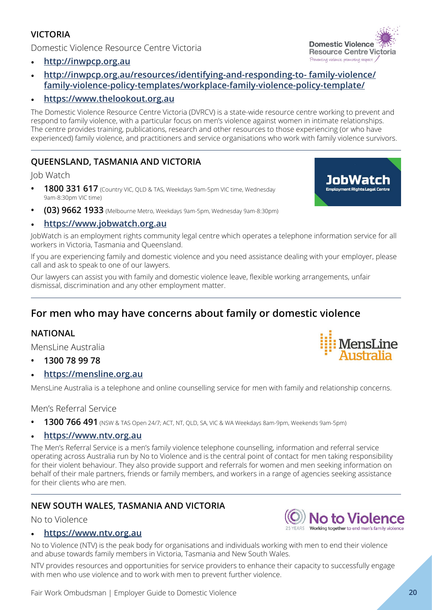#### <span id="page-19-0"></span>**VICTORIA**

Domestic Violence Resource Centre Victoria

- **<http://inwpcp.org.au>**
- **[http://inwpcp.org.au/resources/identifying-and-responding-to- family-violence/](http://inwpcp.org.au/resources/identifying-and-responding-to- family-violence/family-violence-policy-templates/workplace-family-violence-policy-template/) [family-violence-policy-templates/workplace-family-violence-policy-template/](http://inwpcp.org.au/resources/identifying-and-responding-to- family-violence/family-violence-policy-templates/workplace-family-violence-policy-template/)**

#### • **<https://www.thelookout.org.au>**

The Domestic Violence Resource Centre Victoria (DVRCV) is a state-wide resource centre working to prevent and respond to family violence, with a particular focus on men's violence against women in intimate relationships. The centre provides training, publications, research and other resources to those experiencing (or who have experienced) family violence, and practitioners and service organisations who work with family violence survivors.

#### **QUEENSLAND, TASMANIA AND VICTORIA**

Job Watch

- **• 1800 331 617** (Country VIC, QLD & TAS, Weekdays 9am-5pm VIC time, Wednesday 9am-8:30pm VIC time)
- **• (03) 9662 1933** (Melbourne Metro, Weekdays 9am-5pm, Wednesday 9am-8:30pm)

#### • **<https://www.jobwatch.org.au>**

JobWatch is an employment rights community legal centre which operates a telephone information service for all workers in Victoria, Tasmania and Queensland.

If you are experiencing family and domestic violence and you need assistance dealing with your employer, please call and ask to speak to one of our lawyers.

Our lawyers can assist you with family and domestic violence leave, flexible working arrangements, unfair dismissal, discrimination and any other employment matter.

### **For men who may have concerns about family or domestic violence**

#### **NATIONAL**

MensLine Australia

- **• 1300 78 99 78**
- **[https://mensline.org.au](https://mensline.org.au/)**

MensLine Australia is a telephone and online counselling service for men with family and relationship concerns.

Men's Referral Service

**• 1300 766 491** (NSW & TAS Open 24/7; ACT, NT, QLD, SA, VIC & WA Weekdays 8am-9pm, Weekends 9am-5pm)

#### • **<https://www.ntv.org.au>**

The Men's Referral Service is a men's family violence telephone counselling, information and referral service operating across Australia run by No to Violence and is the central point of contact for men taking responsibility for their violent behaviour. They also provide support and referrals for women and men seeking information on behalf of their male partners, friends or family members, and workers in a range of agencies seeking assistance for their clients who are men.

#### **NEW SOUTH WALES, TASMANIA AND VICTORIA**

No to Violence

#### • **[https://www.ntv.org.au](https://www.ntv.org.au/)**

No to Violence (NTV) is the peak body for organisations and individuals working with men to end their violence and abuse towards family members in Victoria, Tasmania and New South Wales.

NTV provides resources and opportunities for service providers to enhance their capacity to successfully engage with men who use violence and to work with men to prevent further violence.